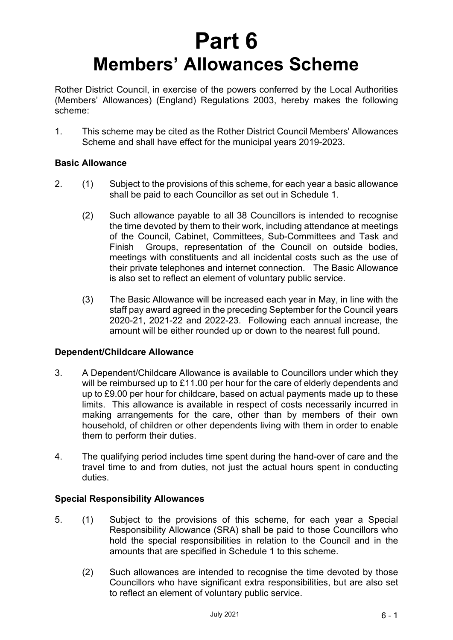# **Part 6 Members' Allowances Scheme**

Rother District Council, in exercise of the powers conferred by the Local Authorities (Members' Allowances) (England) Regulations 2003, hereby makes the following scheme:

1. This scheme may be cited as the Rother District Council Members' Allowances Scheme and shall have effect for the municipal years 2019-2023.

# **Basic Allowance**

- 2. (1) Subject to the provisions of this scheme, for each year a basic allowance shall be paid to each Councillor as set out in Schedule 1.
	- (2) Such allowance payable to all 38 Councillors is intended to recognise the time devoted by them to their work, including attendance at meetings of the Council, Cabinet, Committees, Sub-Committees and Task and Finish Groups, representation of the Council on outside bodies, meetings with constituents and all incidental costs such as the use of their private telephones and internet connection. The Basic Allowance is also set to reflect an element of voluntary public service.
	- (3) The Basic Allowance will be increased each year in May, in line with the staff pay award agreed in the preceding September for the Council years 2020-21, 2021-22 and 2022-23. Following each annual increase, the amount will be either rounded up or down to the nearest full pound.

# **Dependent/Childcare Allowance**

- 3. A Dependent/Childcare Allowance is available to Councillors under which they will be reimbursed up to £11.00 per hour for the care of elderly dependents and up to £9.00 per hour for childcare, based on actual payments made up to these limits. This allowance is available in respect of costs necessarily incurred in making arrangements for the care, other than by members of their own household, of children or other dependents living with them in order to enable them to perform their duties.
- 4. The qualifying period includes time spent during the hand-over of care and the travel time to and from duties, not just the actual hours spent in conducting duties.

# **Special Responsibility Allowances**

- 5. (1) Subject to the provisions of this scheme, for each year a Special Responsibility Allowance (SRA) shall be paid to those Councillors who hold the special responsibilities in relation to the Council and in the amounts that are specified in Schedule 1 to this scheme.
	- (2) Such allowances are intended to recognise the time devoted by those Councillors who have significant extra responsibilities, but are also set to reflect an element of voluntary public service.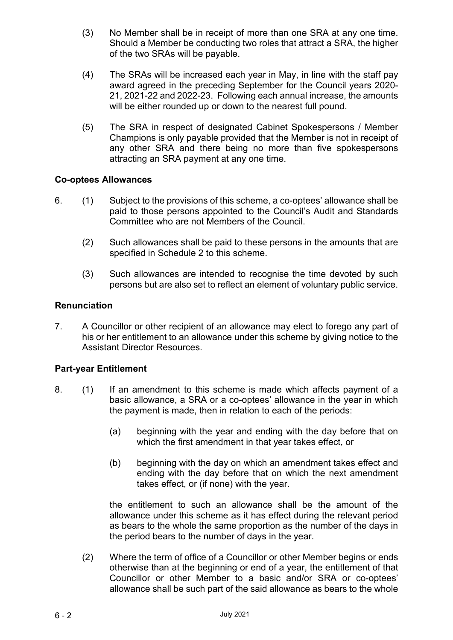- (3) No Member shall be in receipt of more than one SRA at any one time. Should a Member be conducting two roles that attract a SRA, the higher of the two SRAs will be payable.
- (4) The SRAs will be increased each year in May, in line with the staff pay award agreed in the preceding September for the Council years 2020- 21, 2021-22 and 2022-23.Following each annual increase, the amounts will be either rounded up or down to the nearest full pound.
- (5) The SRA in respect of designated Cabinet Spokespersons / Member Champions is only payable provided that the Member is not in receipt of any other SRA and there being no more than five spokespersons attracting an SRA payment at any one time.

# **Co-optees Allowances**

- 6. (1) Subject to the provisions of this scheme, a co-optees' allowance shall be paid to those persons appointed to the Council's Audit and Standards Committee who are not Members of the Council.
	- (2) Such allowances shall be paid to these persons in the amounts that are specified in Schedule 2 to this scheme.
	- (3) Such allowances are intended to recognise the time devoted by such persons but are also set to reflect an element of voluntary public service.

# **Renunciation**

7. A Councillor or other recipient of an allowance may elect to forego any part of his or her entitlement to an allowance under this scheme by giving notice to the Assistant Director Resources.

# **Part-year Entitlement**

- 8. (1) If an amendment to this scheme is made which affects payment of a basic allowance, a SRA or a co-optees' allowance in the year in which the payment is made, then in relation to each of the periods:
	- (a) beginning with the year and ending with the day before that on which the first amendment in that year takes effect, or
	- (b) beginning with the day on which an amendment takes effect and ending with the day before that on which the next amendment takes effect, or (if none) with the year.

the entitlement to such an allowance shall be the amount of the allowance under this scheme as it has effect during the relevant period as bears to the whole the same proportion as the number of the days in the period bears to the number of days in the year.

(2) Where the term of office of a Councillor or other Member begins or ends otherwise than at the beginning or end of a year, the entitlement of that Councillor or other Member to a basic and/or SRA or co-optees' allowance shall be such part of the said allowance as bears to the whole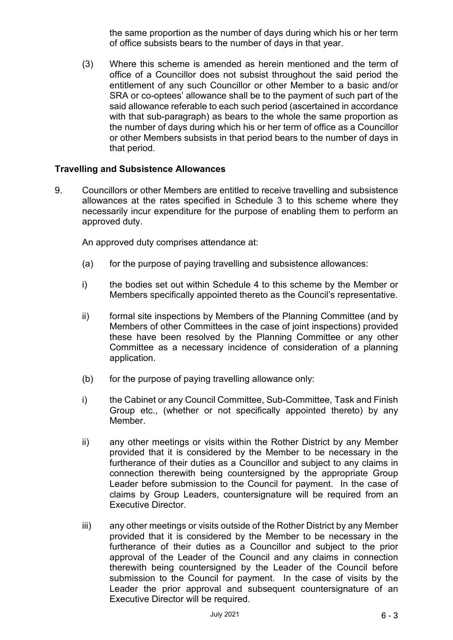the same proportion as the number of days during which his or her term of office subsists bears to the number of days in that year.

(3) Where this scheme is amended as herein mentioned and the term of office of a Councillor does not subsist throughout the said period the entitlement of any such Councillor or other Member to a basic and/or SRA or co-optees' allowance shall be to the payment of such part of the said allowance referable to each such period (ascertained in accordance with that sub-paragraph) as bears to the whole the same proportion as the number of days during which his or her term of office as a Councillor or other Members subsists in that period bears to the number of days in that period.

# **Travelling and Subsistence Allowances**

9. Councillors or other Members are entitled to receive travelling and subsistence allowances at the rates specified in Schedule 3 to this scheme where they necessarily incur expenditure for the purpose of enabling them to perform an approved duty.

An approved duty comprises attendance at:

- (a) for the purpose of paying travelling and subsistence allowances:
- i) the bodies set out within Schedule 4 to this scheme by the Member or Members specifically appointed thereto as the Council's representative.
- ii) formal site inspections by Members of the Planning Committee (and by Members of other Committees in the case of joint inspections) provided these have been resolved by the Planning Committee or any other Committee as a necessary incidence of consideration of a planning application.
- (b) for the purpose of paying travelling allowance only:
- i) the Cabinet or any Council Committee, Sub-Committee, Task and Finish Group etc., (whether or not specifically appointed thereto) by any Member.
- ii) any other meetings or visits within the Rother District by any Member provided that it is considered by the Member to be necessary in the furtherance of their duties as a Councillor and subject to any claims in connection therewith being countersigned by the appropriate Group Leader before submission to the Council for payment. In the case of claims by Group Leaders, countersignature will be required from an Executive Director.
- iii) any other meetings or visits outside of the Rother District by any Member provided that it is considered by the Member to be necessary in the furtherance of their duties as a Councillor and subject to the prior approval of the Leader of the Council and any claims in connection therewith being countersigned by the Leader of the Council before submission to the Council for payment. In the case of visits by the Leader the prior approval and subsequent countersignature of an Executive Director will be required.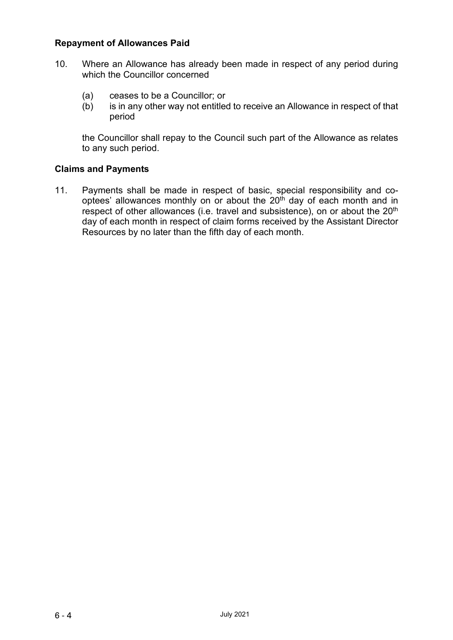# **Repayment of Allowances Paid**

- 10. Where an Allowance has already been made in respect of any period during which the Councillor concerned
	- (a) ceases to be a Councillor; or<br>(b) is in any other way not entitled
	- is in any other way not entitled to receive an Allowance in respect of that period

the Councillor shall repay to the Council such part of the Allowance as relates to any such period.

# **Claims and Payments**

11. Payments shall be made in respect of basic, special responsibility and cooptees' allowances monthly on or about the  $20<sup>th</sup>$  day of each month and in respect of other allowances (i.e. travel and subsistence), on or about the 20<sup>th</sup> day of each month in respect of claim forms received by the Assistant Director Resources by no later than the fifth day of each month.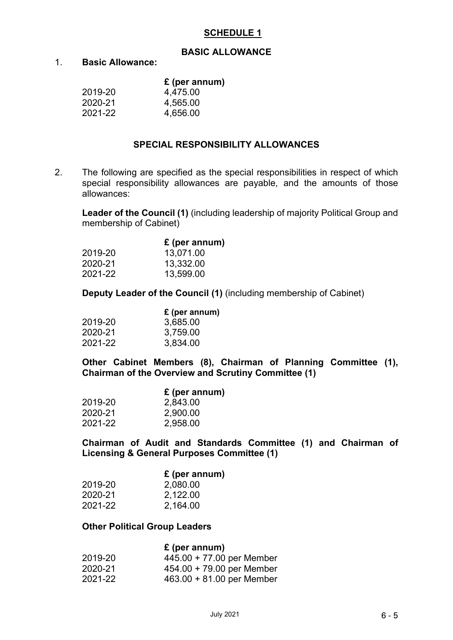# **SCHEDULE 1**

#### **BASIC ALLOWANCE**

#### 1. **Basic Allowance:**

|  |  | $E$ (per annum) |  |
|--|--|-----------------|--|
|--|--|-----------------|--|

| 2019-20 | 4,475.00 |
|---------|----------|
| 2020-21 | 4,565.00 |
| 2021-22 | 4,656.00 |

#### **SPECIAL RESPONSIBILITY ALLOWANCES**

2. The following are specified as the special responsibilities in respect of which special responsibility allowances are payable, and the amounts of those allowances:

**Leader of the Council (1)** (including leadership of majority Political Group and membership of Cabinet)

|  | £ (per annum) |  |  |
|--|---------------|--|--|
|--|---------------|--|--|

| 2019-20 | 13,071.00 |
|---------|-----------|
| 2020-21 | 13,332.00 |
| 2021-22 | 13,599.00 |

**Deputy Leader of the Council (1)** (including membership of Cabinet)

|         | £ (per annum) |
|---------|---------------|
| 2019-20 | 3,685.00      |
| 2020-21 | 3,759.00      |
| 2021-22 | 3,834.00      |

**Other Cabinet Members (8), Chairman of Planning Committee (1), Chairman of the Overview and Scrutiny Committee (1)**

|         | $f$ (per annum) |
|---------|-----------------|
| 2019-20 | 2,843.00        |
| 2020-21 | 2,900.00        |
| 2021-22 | 2,958.00        |

**Chairman of Audit and Standards Committee (1) and Chairman of Licensing & General Purposes Committee (1)**

|         | $f$ (per annum) |
|---------|-----------------|
| 2019-20 | 2,080.00        |
| 2020-21 | 2,122.00        |
| 2021-22 | 2,164.00        |

#### **Other Political Group Leaders**

#### **£ (per annum)**

| 2019-20 | $445.00 + 77.00$ per Member |
|---------|-----------------------------|
| 2020-21 | $454.00 + 79.00$ per Member |
| 2021-22 | $463.00 + 81.00$ per Member |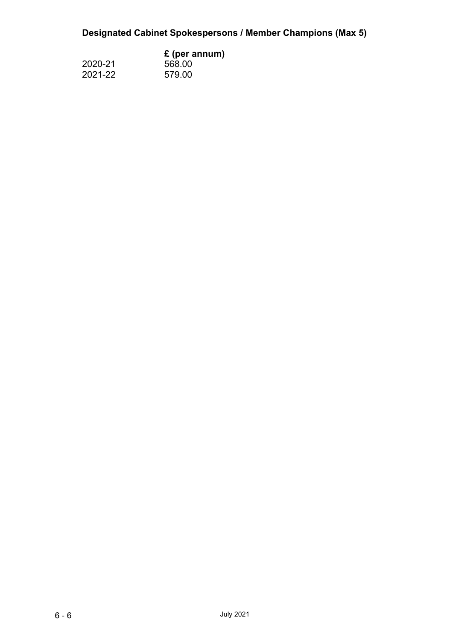# **Designated Cabinet Spokespersons / Member Champions (Max 5)**

|         | $E$ (per annum) |  |
|---------|-----------------|--|
| 2020-21 | 568.00          |  |
| 2021-22 | 579.00          |  |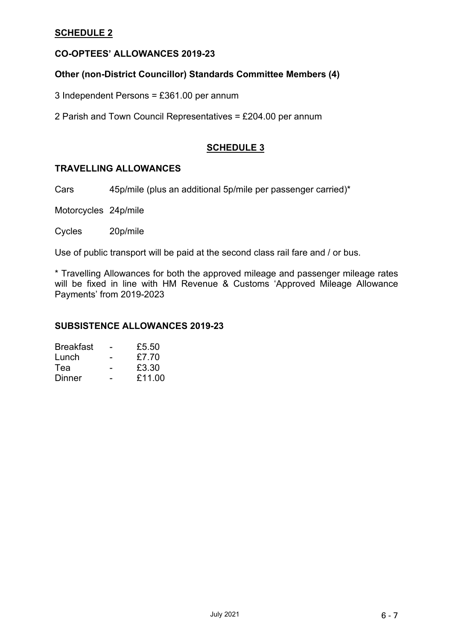# **SCHEDULE 2**

# **CO-OPTEES' ALLOWANCES 2019-23**

# **Other (non-District Councillor) Standards Committee Members (4)**

3 Independent Persons = £361.00 per annum

2 Parish and Town Council Representatives = £204.00 per annum

# **SCHEDULE 3**

# **TRAVELLING ALLOWANCES**

Cars 45p/mile (plus an additional 5p/mile per passenger carried)\*

Motorcycles 24p/mile

Cycles 20p/mile

Use of public transport will be paid at the second class rail fare and / or bus.

\* Travelling Allowances for both the approved mileage and passenger mileage rates will be fixed in line with HM Revenue & Customs 'Approved Mileage Allowance Payments' from 2019-2023

#### **SUBSISTENCE ALLOWANCES 2019-23**

| <b>Breakfast</b> | £5.50  |
|------------------|--------|
| Lunch            | £7.70  |
| Теа              | £3.30  |
| Dinner           | £11.00 |